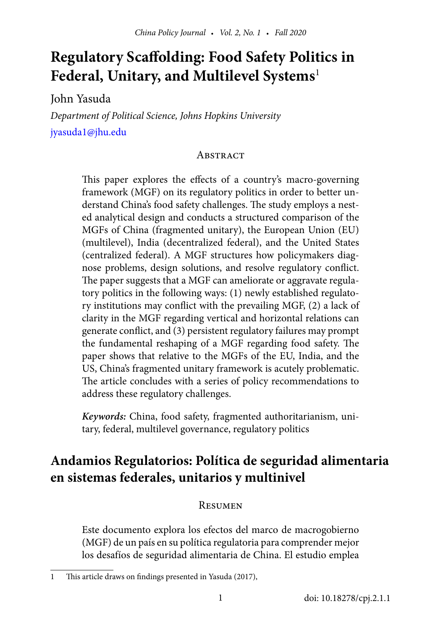# **Regulatory Scaffolding: Food Safety Politics in Federal, Unitary, and Multilevel Systems**<sup>1</sup>

John Yasuda

*Department of Political Science, Johns Hopkins University* [jyasuda1@jhu.edu](mailto:jyasuda1%40jhu.edu%20?subject=) 

#### **ABSTRACT**

This paper explores the effects of a country's macro-governing framework (MGF) on its regulatory politics in order to better understand China's food safety challenges. The study employs a nested analytical design and conducts a structured comparison of the MGFs of China (fragmented unitary), the European Union (EU) (multilevel), India (decentralized federal), and the United States (centralized federal). A MGF structures how policymakers diagnose problems, design solutions, and resolve regulatory conflict. The paper suggests that a MGF can ameliorate or aggravate regulatory politics in the following ways: (1) newly established regulatory institutions may conflict with the prevailing MGF, (2) a lack of clarity in the MGF regarding vertical and horizontal relations can generate conflict, and (3) persistent regulatory failures may prompt the fundamental reshaping of a MGF regarding food safety. The paper shows that relative to the MGFs of the EU, India, and the US, China's fragmented unitary framework is acutely problematic. The article concludes with a series of policy recommendations to address these regulatory challenges.

*Keywords:* China, food safety, fragmented authoritarianism, unitary, federal, multilevel governance, regulatory politics

## **Andamios Regulatorios: Política de seguridad alimentaria en sistemas federales, unitarios y multinivel**

#### **RESUMEN**

Este documento explora los efectos del marco de macrogobierno (MGF) de un país en su política regulatoria para comprender mejor los desafíos de seguridad alimentaria de China. El estudio emplea

<sup>1</sup> This article draws on findings presented in Yasuda (2017),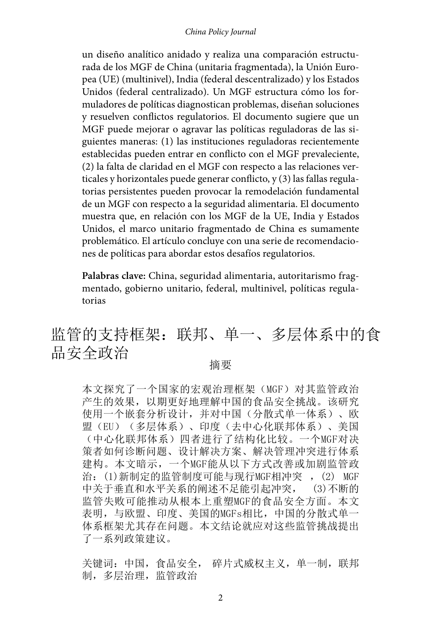#### *China Policy Journal*

un diseño analítico anidado y realiza una comparación estructurada de los MGF de China (unitaria fragmentada), la Unión Europea (UE) (multinivel), India (federal descentralizado) y los Estados Unidos (federal centralizado). Un MGF estructura cómo los formuladores de políticas diagnostican problemas, diseñan soluciones y resuelven conflictos regulatorios. El documento sugiere que un MGF puede mejorar o agravar las políticas reguladoras de las siguientes maneras: (1) las instituciones reguladoras recientemente establecidas pueden entrar en conflicto con el MGF prevaleciente, (2) la falta de claridad en el MGF con respecto a las relaciones verticales y horizontales puede generar conflicto, y (3) las fallas regulatorias persistentes pueden provocar la remodelación fundamental de un MGF con respecto a la seguridad alimentaria. El documento muestra que, en relación con los MGF de la UE, India y Estados Unidos, el marco unitario fragmentado de China es sumamente problemático. El artículo concluye con una serie de recomendaciones de políticas para abordar estos desafíos regulatorios.

**Palabras clave:** China, seguridad alimentaria, autoritarismo fragmentado, gobierno unitario, federal, multinivel, políticas regulatorias

# 监管的支持框架:联邦、单一、多层体系中的食 品安全政治 <sub>摘要</sub>

本文探究了一个国家的宏观治理框架(MGF)对其监管政治 产生的效果,以期更好地理解中国的食品安全挑战。该研究 使用一个嵌套分析设计,并对中国(分散式单一体系)、欧 盟(EU)(多层体系)、印度(去中心化联邦体系)、美国 (中心化联邦体系)四者进行了结构化比较。一个MGF对决 策者如何诊断问题、设计解决方案、解决管理冲突进行体系 建构。本文暗示,一个MGF能从以下方式改善或加剧监管政 治: (1)新制定的监管制度可能与现行MGF相冲突 , (2) MGF 中关于垂直和水平关系的阐述不足能引起冲突, (3)不断的 监管失败可能推动从根本上重塑MGF的食品安全方面。本文 表明,与欧盟、印度、美国的MGFs相比,中国的分散式单一 体系框架尤其存在问题。本文结论就应对这些监管挑战提出 了一系列政策建议。

关键词: 中国, 食品安全, 碎片式威权主义, 单一制, 联邦 制,多层治理,监管政治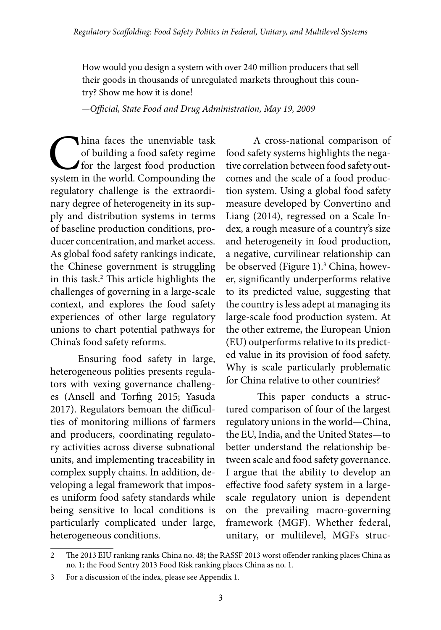How would you design a system with over 240 million producers that sell their goods in thousands of unregulated markets throughout this country? Show me how it is done!

—*Official, State Food and Drug Administration, May 19, 2009*

hina faces the unenviable task<br>of building a food safety regime<br>for the largest food production<br>system in the world. Compounding the of building a food safety regime for the largest food production system in the world. Compounding the regulatory challenge is the extraordinary degree of heterogeneity in its supply and distribution systems in terms of baseline production conditions, producer concentration, and market access. As global food safety rankings indicate, the Chinese government is struggling in this task.2 This article highlights the challenges of governing in a large-scale context, and explores the food safety experiences of other large regulatory unions to chart potential pathways for China's food safety reforms.

Ensuring food safety in large, heterogeneous polities presents regulators with vexing governance challenges (Ansell and Torfing 2015; Yasuda 2017). Regulators bemoan the difficulties of monitoring millions of farmers and producers, coordinating regulatory activities across diverse subnational units, and implementing traceability in complex supply chains. In addition, developing a legal framework that imposes uniform food safety standards while being sensitive to local conditions is particularly complicated under large, heterogeneous conditions.

A cross-national comparison of food safety systems highlights the negative correlation between food safety outcomes and the scale of a food production system. Using a global food safety measure developed by Convertino and Liang (2014), regressed on a Scale Index, a rough measure of a country's size and heterogeneity in food production, a negative, curvilinear relationship can be observed (Figure 1).<sup>3</sup> China, however, significantly underperforms relative to its predicted value, suggesting that the country is less adept at managing its large-scale food production system. At the other extreme, the European Union (EU) outperforms relative to its predicted value in its provision of food safety. Why is scale particularly problematic for China relative to other countries?

This paper conducts a structured comparison of four of the largest regulatory unions in the world—China, the EU, India, and the United States—to better understand the relationship between scale and food safety governance. I argue that the ability to develop an effective food safety system in a largescale regulatory union is dependent on the prevailing macro-governing framework (MGF). Whether federal, unitary, or multilevel, MGFs struc-

<sup>2</sup> The 2013 EIU ranking ranks China no. 48; the RASSF 2013 worst offender ranking places China as no. 1; the Food Sentry 2013 Food Risk ranking places China as no. 1.

<sup>3</sup> For a discussion of the index, please see Appendix 1.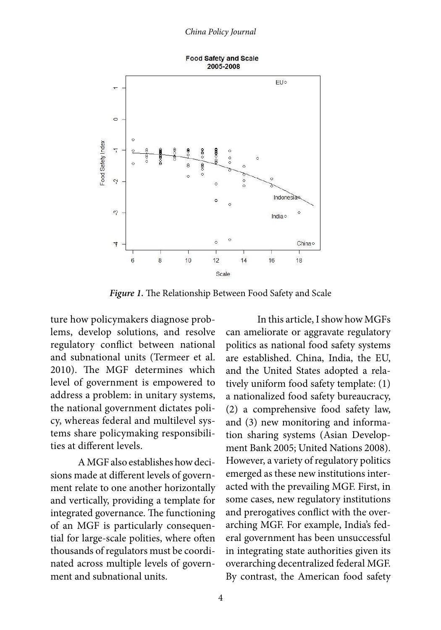

*Figure 1.* The Relationship Between Food Safety and Scale

ture how policymakers diagnose problems, develop solutions, and resolve regulatory conflict between national and subnational units (Termeer et al. 2010). The MGF determines which level of government is empowered to address a problem: in unitary systems, the national government dictates policy, whereas federal and multilevel systems share policymaking responsibilities at different levels.

A MGF also establishes how decisions made at different levels of government relate to one another horizontally and vertically, providing a template for integrated governance. The functioning of an MGF is particularly consequential for large-scale polities, where often thousands of regulators must be coordinated across multiple levels of government and subnational units.

In this article, I show how MGFs can ameliorate or aggravate regulatory politics as national food safety systems are established. China, India, the EU, and the United States adopted a relatively uniform food safety template: (1) a nationalized food safety bureaucracy, (2) a comprehensive food safety law, and (3) new monitoring and information sharing systems (Asian Development Bank 2005; United Nations 2008). However, a variety of regulatory politics emerged as these new institutions interacted with the prevailing MGF. First, in some cases, new regulatory institutions and prerogatives conflict with the overarching MGF. For example, India's federal government has been unsuccessful in integrating state authorities given its overarching decentralized federal MGF. By contrast, the American food safety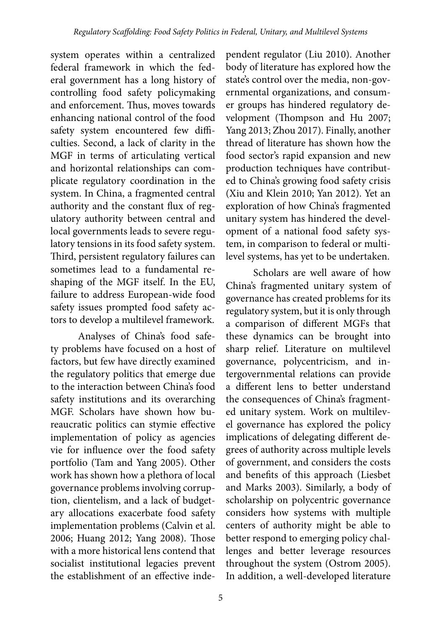system operates within a centralized federal framework in which the federal government has a long history of controlling food safety policymaking and enforcement. Thus, moves towards enhancing national control of the food safety system encountered few difficulties. Second, a lack of clarity in the MGF in terms of articulating vertical and horizontal relationships can complicate regulatory coordination in the system. In China, a fragmented central authority and the constant flux of regulatory authority between central and local governments leads to severe regulatory tensions in its food safety system. Third, persistent regulatory failures can sometimes lead to a fundamental reshaping of the MGF itself. In the EU, failure to address European-wide food safety issues prompted food safety actors to develop a multilevel framework.

Analyses of China's food safety problems have focused on a host of factors, but few have directly examined the regulatory politics that emerge due to the interaction between China's food safety institutions and its overarching MGF. Scholars have shown how bureaucratic politics can stymie effective implementation of policy as agencies vie for influence over the food safety portfolio (Tam and Yang 2005). Other work has shown how a plethora of local governance problems involving corruption, clientelism, and a lack of budgetary allocations exacerbate food safety implementation problems (Calvin et al. 2006; Huang 2012; Yang 2008). Those with a more historical lens contend that socialist institutional legacies prevent the establishment of an effective inde-

pendent regulator (Liu 2010). Another body of literature has explored how the state's control over the media, non-governmental organizations, and consumer groups has hindered regulatory development (Thompson and Hu 2007; Yang 2013; Zhou 2017). Finally, another thread of literature has shown how the food sector's rapid expansion and new production techniques have contributed to China's growing food safety crisis (Xiu and Klein 2010; Yan 2012). Yet an exploration of how China's fragmented unitary system has hindered the development of a national food safety system, in comparison to federal or multilevel systems, has yet to be undertaken.

Scholars are well aware of how China's fragmented unitary system of governance has created problems for its regulatory system, but it is only through a comparison of different MGFs that these dynamics can be brought into sharp relief. Literature on multilevel governance, polycentricism, and intergovernmental relations can provide a different lens to better understand the consequences of China's fragmented unitary system. Work on multilevel governance has explored the policy implications of delegating different degrees of authority across multiple levels of government, and considers the costs and benefits of this approach (Liesbet and Marks 2003). Similarly, a body of scholarship on polycentric governance considers how systems with multiple centers of authority might be able to better respond to emerging policy challenges and better leverage resources throughout the system (Ostrom 2005). In addition, a well-developed literature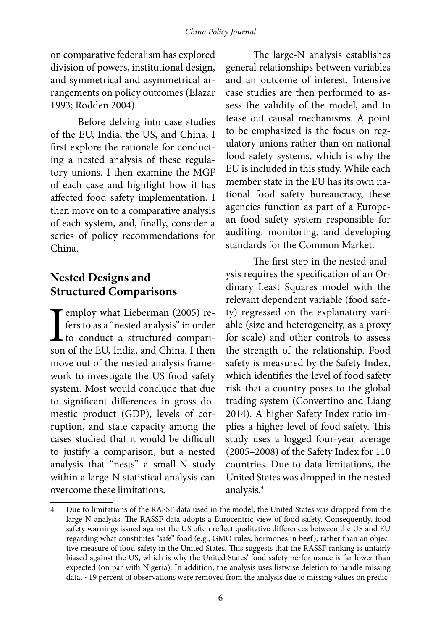on comparative federalism has explored division of powers, institutional design, and symmetrical and asymmetrical arrangements on policy outcomes (Elazar 1993; Rodden 2004).

Before delving into case studies of the EU, India, the US, and China, I first explore the rationale for conducting a nested analysis of these regulatory unions. I then examine the MGF of each case and highlight how it has affected food safety implementation. I then move on to a comparative analysis of each system, and, finally, consider a series of policy recommendations for China.

## **Nested Designs and Structured Comparisons**

**T** employ what Lieberman (2005) refers to as a "nested analysis" in order to conduct a structured comparison of the EU, India, and China. I then fers to as a "nested analysis" in order L to conduct a structured comparison of the EU, India, and China. I then move out of the nested analysis framework to investigate the US food safety system. Most would conclude that due to significant differences in gross domestic product (GDP), levels of corruption, and state capacity among the cases studied that it would be difficult to justify a comparison, but a nested analysis that "nests" a small-N study within a large-N statistical analysis can overcome these limitations.

The large-N analysis establishes general relationships between variables and an outcome of interest. Intensive case studies are then performed to assess the validity of the model, and to tease out causal mechanisms. A point to be emphasized is the focus on regulatory unions rather than on national food safety systems, which is why the EU is included in this study. While each member state in the EU has its own national food safety bureaucracy, these agencies function as part of a European food safety system responsible for auditing, monitoring, and developing standards for the Common Market.

The first step in the nested analysis requires the specification of an Ordinary Least Squares model with the relevant dependent variable (food safety) regressed on the explanatory variable (size and heterogeneity, as a proxy for scale) and other controls to assess the strength of the relationship. Food safety is measured by the Safety Index, which identifies the level of food safety risk that a country poses to the global trading system (Convertino and Liang 2014). A higher Safety Index ratio implies a higher level of food safety. This study uses a logged four-year average (2005–2008) of the Safety Index for 110 countries. Due to data limitations, the United States was dropped in the nested analysis.4

<sup>4</sup> Due to limitations of the RASSF data used in the model, the United States was dropped from the large-N analysis. The RASSF data adopts a Eurocentric view of food safety. Consequently, food safety warnings issued against the US often reflect qualitative differences between the US and EU regarding what constitutes "safe" food (e.g., GMO rules, hormones in beef), rather than an objective measure of food safety in the United States. This suggests that the RASSF ranking is unfairly biased against the US, which is why the United States' food safety performance is far lower than expected (on par with Nigeria). In addition, the analysis uses listwise deletion to handle missing data; ~19 percent of observations were removed from the analysis due to missing values on predic-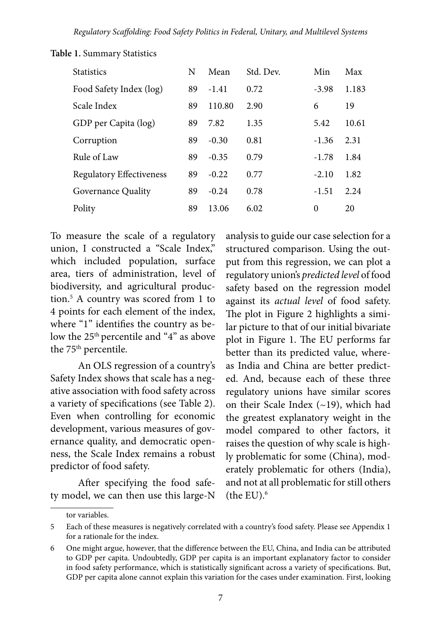| <b>Statistics</b>               | N  | Mean    | Std. Dev. | Min      | Max   |
|---------------------------------|----|---------|-----------|----------|-------|
| Food Safety Index (log)         | 89 | $-1.41$ | 0.72      | $-3.98$  | 1.183 |
| Scale Index                     | 89 | 110.80  | 2.90      | 6        | 19    |
| GDP per Capita (log)            | 89 | 7.82    | 1.35      | 5.42     | 10.61 |
| Corruption                      | 89 | $-0.30$ | 0.81      | $-1.36$  | 2.31  |
| Rule of Law                     | 89 | $-0.35$ | 0.79      | $-1.78$  | 1.84  |
| <b>Regulatory Effectiveness</b> | 89 | $-0.22$ | 0.77      | $-2.10$  | 1.82  |
| Governance Quality              | 89 | $-0.24$ | 0.78      | $-1.51$  | 2.24  |
| Polity                          | 89 | 13.06   | 6.02      | $\theta$ | 20    |

**Table 1.** Summary Statistics

To measure the scale of a regulatory union, I constructed a "Scale Index," which included population, surface area, tiers of administration, level of biodiversity, and agricultural production.5 A country was scored from 1 to 4 points for each element of the index, where "1" identifies the country as below the 25<sup>th</sup> percentile and "4" as above the 75<sup>th</sup> percentile.

An OLS regression of a country's Safety Index shows that scale has a negative association with food safety across a variety of specifications (see Table 2). Even when controlling for economic development, various measures of governance quality, and democratic openness, the Scale Index remains a robust predictor of food safety.

After specifying the food safety model, we can then use this large-N

analysis to guide our case selection for a structured comparison. Using the output from this regression, we can plot a regulatory union's *predicted level* of food safety based on the regression model against its *actual level* of food safety. The plot in Figure 2 highlights a similar picture to that of our initial bivariate plot in Figure 1. The EU performs far better than its predicted value, whereas India and China are better predicted. And, because each of these three regulatory unions have similar scores on their Scale Index (~19), which had the greatest explanatory weight in the model compared to other factors, it raises the question of why scale is highly problematic for some (China), moderately problematic for others (India), and not at all problematic for still others (the  $EU$ ). $<sup>6</sup>$ </sup>

tor variables.

<sup>5</sup> Each of these measures is negatively correlated with a country's food safety. Please see Appendix 1 for a rationale for the index.

<sup>6</sup> One might argue, however, that the difference between the EU, China, and India can be attributed to GDP per capita. Undoubtedly, GDP per capita is an important explanatory factor to consider in food safety performance, which is statistically significant across a variety of specifications. But, GDP per capita alone cannot explain this variation for the cases under examination. First, looking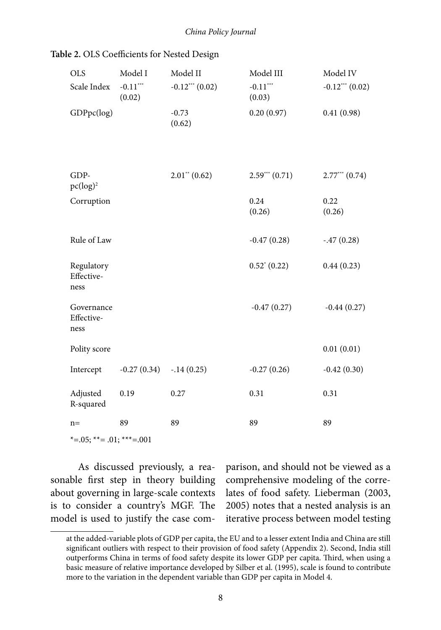| Table 2. OLS Coefficients for Nested Design |
|---------------------------------------------|
|---------------------------------------------|

| <b>OLS</b><br>Scale Index        | Model I<br>$-0.11***$<br>(0.02) | Model II<br>$-0.12***$ $(0.02)$ | Model III<br>$-0.11***$<br>(0.03) | Model IV<br>$-0.12***$ $(0.02)$ |
|----------------------------------|---------------------------------|---------------------------------|-----------------------------------|---------------------------------|
| GDPpc(log)                       |                                 | $-0.73$<br>(0.62)               | 0.20(0.97)                        | 0.41(0.98)                      |
|                                  |                                 |                                 |                                   |                                 |
| GDP-<br>$pc(log)^2$              |                                 | $2.01^{**}$ (0.62)              | $2.59***(0.71)$                   | $2.77***$ $(0.74)$              |
| Corruption                       |                                 |                                 | 0.24<br>(0.26)                    | 0.22<br>(0.26)                  |
| Rule of Law                      |                                 |                                 | $-0.47(0.28)$                     | $-.47(0.28)$                    |
| Regulatory<br>Effective-<br>ness |                                 |                                 | $0.52^* (0.22)$                   | 0.44(0.23)                      |
| Governance<br>Effective-<br>ness |                                 |                                 | $-0.47(0.27)$                     | $-0.44(0.27)$                   |
| Polity score                     |                                 |                                 |                                   | 0.01(0.01)                      |
| Intercept                        | $-0.27(0.34)$                   | $-.14(0.25)$                    | $-0.27(0.26)$                     | $-0.42(0.30)$                   |
| Adjusted<br>R-squared            | 0.19                            | 0.27                            | 0.31                              | 0.31                            |
| $n =$                            | 89                              | 89                              | 89                                | 89                              |
| *= $.05;$ **= $.01;$ ***= $.001$ |                                 |                                 |                                   |                                 |

As discussed previously, a reasonable first step in theory building about governing in large-scale contexts is to consider a country's MGF. The model is used to justify the case comparison, and should not be viewed as a comprehensive modeling of the correlates of food safety. Lieberman (2003, 2005) notes that a nested analysis is an iterative process between model testing

at the added-variable plots of GDP per capita, the EU and to a lesser extent India and China are still significant outliers with respect to their provision of food safety (Appendix 2). Second, India still outperforms China in terms of food safety despite its lower GDP per capita. Third, when using a basic measure of relative importance developed by Silber et al. (1995), scale is found to contribute more to the variation in the dependent variable than GDP per capita in Model 4.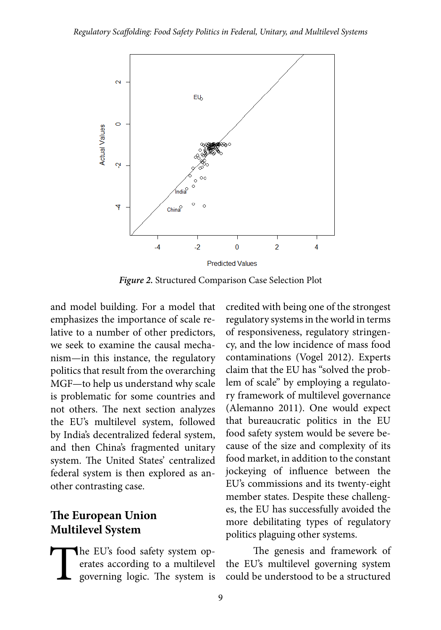

*Figure 2.* Structured Comparison Case Selection Plot

and model building. For a model that emphasizes the importance of scale relative to a number of other predictors, we seek to examine the causal mechanism—in this instance, the regulatory politics that result from the overarching MGF—to help us understand why scale is problematic for some countries and not others. The next section analyzes the EU's multilevel system, followed by India's decentralized federal system, and then China's fragmented unitary system. The United States' centralized federal system is then explored as another contrasting case.

## **The European Union Multilevel System**

The EU's food safety system operates according to a multilevel governing logic. The system is erates according to a multilevel governing logic. The system is

credited with being one of the strongest regulatory systems in the world in terms of responsiveness, regulatory stringency, and the low incidence of mass food contaminations (Vogel 2012). Experts claim that the EU has "solved the problem of scale" by employing a regulatory framework of multilevel governance (Alemanno 2011). One would expect that bureaucratic politics in the EU food safety system would be severe because of the size and complexity of its food market, in addition to the constant jockeying of influence between the EU's commissions and its twenty-eight member states. Despite these challenges, the EU has successfully avoided the more debilitating types of regulatory politics plaguing other systems.

The genesis and framework of the EU's multilevel governing system could be understood to be a structured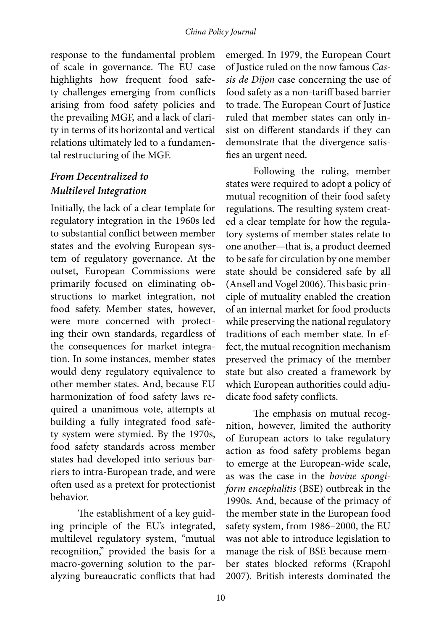response to the fundamental problem of scale in governance. The EU case highlights how frequent food safety challenges emerging from conflicts arising from food safety policies and the prevailing MGF, and a lack of clarity in terms of its horizontal and vertical relations ultimately led to a fundamental restructuring of the MGF.

#### *From Decentralized to Multilevel Integration*

Initially, the lack of a clear template for regulatory integration in the 1960s led to substantial conflict between member states and the evolving European system of regulatory governance. At the outset, European Commissions were primarily focused on eliminating obstructions to market integration, not food safety. Member states, however, were more concerned with protecting their own standards, regardless of the consequences for market integration. In some instances, member states would deny regulatory equivalence to other member states. And, because EU harmonization of food safety laws required a unanimous vote, attempts at building a fully integrated food safety system were stymied. By the 1970s, food safety standards across member states had developed into serious barriers to intra-European trade, and were often used as a pretext for protectionist behavior.

The establishment of a key guiding principle of the EU's integrated, multilevel regulatory system, "mutual recognition," provided the basis for a macro-governing solution to the paralyzing bureaucratic conflicts that had emerged. In 1979, the European Court of Justice ruled on the now famous *Cassis de Dijon* case concerning the use of food safety as a non-tariff based barrier to trade. The European Court of Justice ruled that member states can only insist on different standards if they can demonstrate that the divergence satisfies an urgent need.

Following the ruling, member states were required to adopt a policy of mutual recognition of their food safety regulations. The resulting system created a clear template for how the regulatory systems of member states relate to one another—that is, a product deemed to be safe for circulation by one member state should be considered safe by all (Ansell and Vogel 2006). This basic principle of mutuality enabled the creation of an internal market for food products while preserving the national regulatory traditions of each member state. In effect, the mutual recognition mechanism preserved the primacy of the member state but also created a framework by which European authorities could adjudicate food safety conflicts.

The emphasis on mutual recognition, however, limited the authority of European actors to take regulatory action as food safety problems began to emerge at the European-wide scale, as was the case in the *bovine spongiform encephalitis* (BSE) outbreak in the 1990s. And, because of the primacy of the member state in the European food safety system, from 1986–2000, the EU was not able to introduce legislation to manage the risk of BSE because member states blocked reforms (Krapohl 2007). British interests dominated the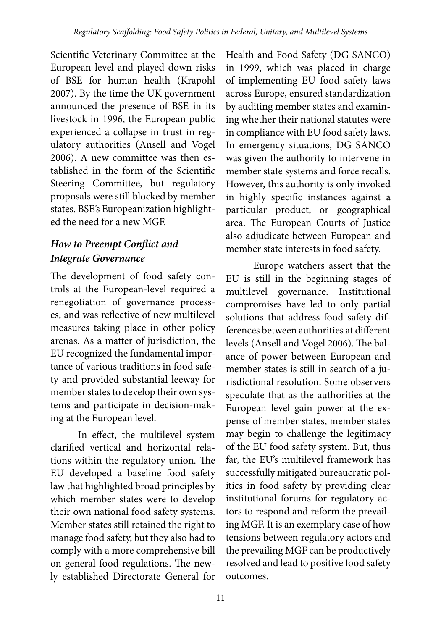Scientific Veterinary Committee at the European level and played down risks of BSE for human health (Krapohl 2007). By the time the UK government announced the presence of BSE in its livestock in 1996, the European public experienced a collapse in trust in regulatory authorities (Ansell and Vogel 2006). A new committee was then established in the form of the Scientific Steering Committee, but regulatory proposals were still blocked by member states. BSE's Europeanization highlighted the need for a new MGF.

## *How to Preempt Conflict and Integrate Governance*

The development of food safety controls at the European-level required a renegotiation of governance processes, and was reflective of new multilevel measures taking place in other policy arenas. As a matter of jurisdiction, the EU recognized the fundamental importance of various traditions in food safety and provided substantial leeway for member states to develop their own systems and participate in decision-making at the European level.

In effect, the multilevel system clarified vertical and horizontal relations within the regulatory union. The EU developed a baseline food safety law that highlighted broad principles by which member states were to develop their own national food safety systems. Member states still retained the right to manage food safety, but they also had to comply with a more comprehensive bill on general food regulations. The newly established Directorate General for

Health and Food Safety (DG SANCO) in 1999, which was placed in charge of implementing EU food safety laws across Europe, ensured standardization by auditing member states and examining whether their national statutes were in compliance with EU food safety laws. In emergency situations, DG SANCO was given the authority to intervene in member state systems and force recalls. However, this authority is only invoked in highly specific instances against a particular product, or geographical area. The European Courts of Justice also adjudicate between European and member state interests in food safety.

Europe watchers assert that the EU is still in the beginning stages of multilevel governance. Institutional compromises have led to only partial solutions that address food safety differences between authorities at different levels (Ansell and Vogel 2006). The balance of power between European and member states is still in search of a jurisdictional resolution. Some observers speculate that as the authorities at the European level gain power at the expense of member states, member states may begin to challenge the legitimacy of the EU food safety system. But, thus far, the EU's multilevel framework has successfully mitigated bureaucratic politics in food safety by providing clear institutional forums for regulatory actors to respond and reform the prevailing MGF. It is an exemplary case of how tensions between regulatory actors and the prevailing MGF can be productively resolved and lead to positive food safety outcomes.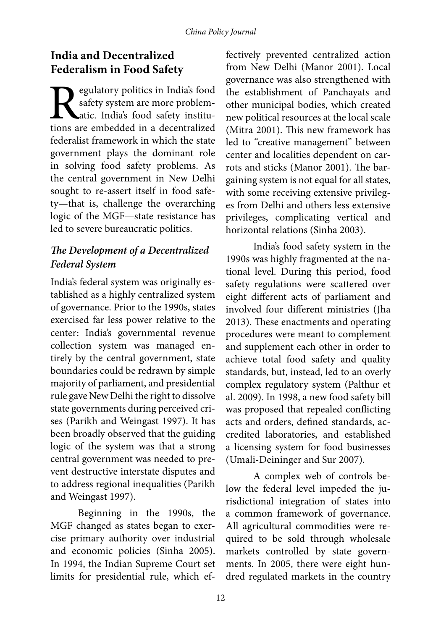## **India and Decentralized Federalism in Food Safety**

**Regulatory politics in India's food safety system are more problemations** are embedded in a decentralized safety system are more problematic. India's food safety institufederalist framework in which the state government plays the dominant role in solving food safety problems. As the central government in New Delhi sought to re-assert itself in food safety—that is, challenge the overarching logic of the MGF—state resistance has led to severe bureaucratic politics.

## *The Development of a Decentralized Federal System*

India's federal system was originally established as a highly centralized system of governance. Prior to the 1990s, states exercised far less power relative to the center: India's governmental revenue collection system was managed entirely by the central government, state boundaries could be redrawn by simple majority of parliament, and presidential rule gave New Delhi the right to dissolve state governments during perceived crises (Parikh and Weingast 1997). It has been broadly observed that the guiding logic of the system was that a strong central government was needed to prevent destructive interstate disputes and to address regional inequalities (Parikh and Weingast 1997).

Beginning in the 1990s, the MGF changed as states began to exercise primary authority over industrial and economic policies (Sinha 2005). In 1994, the Indian Supreme Court set limits for presidential rule, which effectively prevented centralized action from New Delhi (Manor 2001). Local governance was also strengthened with the establishment of Panchayats and other municipal bodies, which created new political resources at the local scale (Mitra 2001). This new framework has led to "creative management" between center and localities dependent on carrots and sticks (Manor 2001). The bargaining system is not equal for all states, with some receiving extensive privileges from Delhi and others less extensive privileges, complicating vertical and horizontal relations (Sinha 2003).

India's food safety system in the 1990s was highly fragmented at the national level. During this period, food safety regulations were scattered over eight different acts of parliament and involved four different ministries (Jha 2013). These enactments and operating procedures were meant to complement and supplement each other in order to achieve total food safety and quality standards, but, instead, led to an overly complex regulatory system (Palthur et al. 2009). In 1998, a new food safety bill was proposed that repealed conflicting acts and orders, defined standards, accredited laboratories, and established a licensing system for food businesses (Umali-Deininger and Sur 2007).

A complex web of controls below the federal level impeded the jurisdictional integration of states into a common framework of governance. All agricultural commodities were required to be sold through wholesale markets controlled by state governments. In 2005, there were eight hundred regulated markets in the country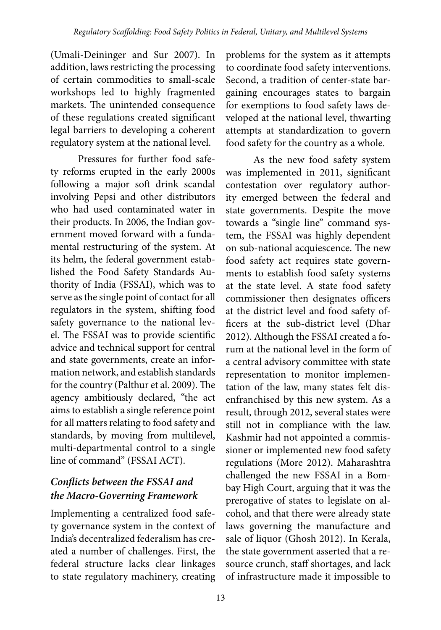(Umali-Deininger and Sur 2007). In addition, laws restricting the processing of certain commodities to small-scale workshops led to highly fragmented markets. The unintended consequence of these regulations created significant legal barriers to developing a coherent regulatory system at the national level.

Pressures for further food safety reforms erupted in the early 2000s following a major soft drink scandal involving Pepsi and other distributors who had used contaminated water in their products. In 2006, the Indian government moved forward with a fundamental restructuring of the system. At its helm, the federal government established the Food Safety Standards Authority of India (FSSAI), which was to serve as the single point of contact for all regulators in the system, shifting food safety governance to the national level. The FSSAI was to provide scientific advice and technical support for central and state governments, create an information network, and establish standards for the country (Palthur et al. 2009). The agency ambitiously declared, "the act aims to establish a single reference point for all matters relating to food safety and standards, by moving from multilevel, multi-departmental control to a single line of command" (FSSAI ACT).

## *Conflicts between the FSSAI and the Macro-Governing Framework*

Implementing a centralized food safety governance system in the context of India's decentralized federalism has created a number of challenges. First, the federal structure lacks clear linkages to state regulatory machinery, creating

problems for the system as it attempts to coordinate food safety interventions. Second, a tradition of center-state bargaining encourages states to bargain for exemptions to food safety laws developed at the national level, thwarting attempts at standardization to govern food safety for the country as a whole.

As the new food safety system was implemented in 2011, significant contestation over regulatory authority emerged between the federal and state governments. Despite the move towards a "single line" command system, the FSSAI was highly dependent on sub-national acquiescence. The new food safety act requires state governments to establish food safety systems at the state level. A state food safety commissioner then designates officers at the district level and food safety officers at the sub-district level (Dhar 2012). Although the FSSAI created a forum at the national level in the form of a central advisory committee with state representation to monitor implementation of the law, many states felt disenfranchised by this new system. As a result, through 2012, several states were still not in compliance with the law. Kashmir had not appointed a commissioner or implemented new food safety regulations (More 2012). Maharashtra challenged the new FSSAI in a Bombay High Court, arguing that it was the prerogative of states to legislate on alcohol, and that there were already state laws governing the manufacture and sale of liquor (Ghosh 2012). In Kerala, the state government asserted that a resource crunch, staff shortages, and lack of infrastructure made it impossible to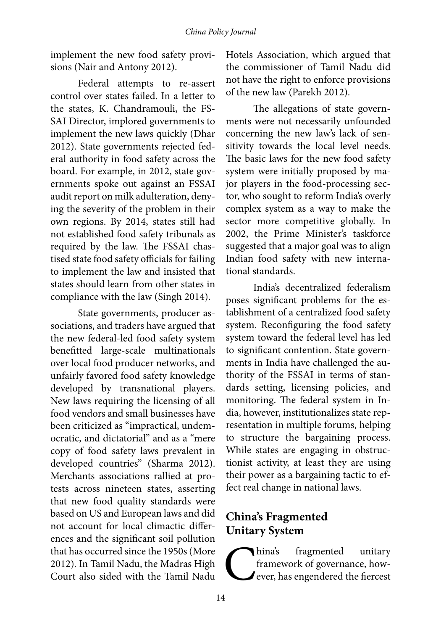implement the new food safety provisions (Nair and Antony 2012).

Federal attempts to re-assert control over states failed. In a letter to the states, K. Chandramouli, the FS-SAI Director, implored governments to implement the new laws quickly (Dhar 2012). State governments rejected federal authority in food safety across the board. For example, in 2012, state governments spoke out against an FSSAI audit report on milk adulteration, denying the severity of the problem in their own regions. By 2014, states still had not established food safety tribunals as required by the law. The FSSAI chastised state food safety officials for failing to implement the law and insisted that states should learn from other states in compliance with the law (Singh 2014).

State governments, producer associations, and traders have argued that the new federal-led food safety system benefitted large-scale multinationals over local food producer networks, and unfairly favored food safety knowledge developed by transnational players. New laws requiring the licensing of all food vendors and small businesses have been criticized as "impractical, undemocratic, and dictatorial" and as a "mere copy of food safety laws prevalent in developed countries" (Sharma 2012). Merchants associations rallied at protests across nineteen states, asserting that new food quality standards were based on US and European laws and did not account for local climactic differences and the significant soil pollution that has occurred since the 1950s (More 2012). In Tamil Nadu, the Madras High Court also sided with the Tamil Nadu Hotels Association, which argued that the commissioner of Tamil Nadu did not have the right to enforce provisions of the new law (Parekh 2012).

The allegations of state governments were not necessarily unfounded concerning the new law's lack of sensitivity towards the local level needs. The basic laws for the new food safety system were initially proposed by major players in the food-processing sector, who sought to reform India's overly complex system as a way to make the sector more competitive globally. In 2002, the Prime Minister's taskforce suggested that a major goal was to align Indian food safety with new international standards.

India's decentralized federalism poses significant problems for the establishment of a centralized food safety system. Reconfiguring the food safety system toward the federal level has led to significant contention. State governments in India have challenged the authority of the FSSAI in terms of standards setting, licensing policies, and monitoring. The federal system in India, however, institutionalizes state representation in multiple forums, helping to structure the bargaining process. While states are engaging in obstructionist activity, at least they are using their power as a bargaining tactic to effect real change in national laws.

## **China's Fragmented Unitary System**

Thina's fragmented unitary<br>framework of governance, how-<br>ever, has engendered the fiercest framework of governance, however, has engendered the fiercest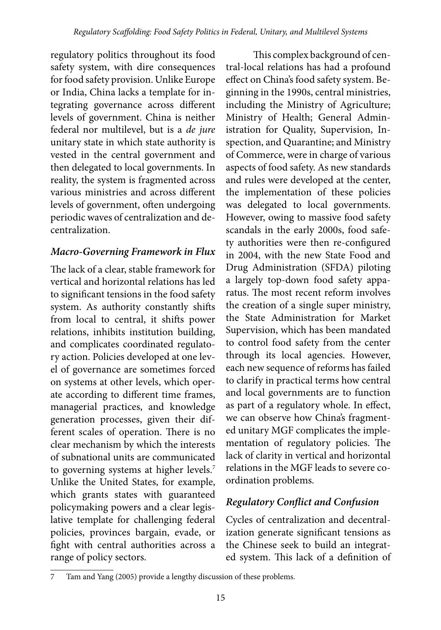regulatory politics throughout its food safety system, with dire consequences for food safety provision. Unlike Europe or India, China lacks a template for integrating governance across different levels of government. China is neither federal nor multilevel, but is a *de jure* unitary state in which state authority is vested in the central government and then delegated to local governments. In reality, the system is fragmented across various ministries and across different levels of government, often undergoing periodic waves of centralization and decentralization.

### *Macro-Governing Framework in Flux*

The lack of a clear, stable framework for vertical and horizontal relations has led to significant tensions in the food safety system. As authority constantly shifts from local to central, it shifts power relations, inhibits institution building, and complicates coordinated regulatory action. Policies developed at one level of governance are sometimes forced on systems at other levels, which operate according to different time frames, managerial practices, and knowledge generation processes, given their different scales of operation. There is no clear mechanism by which the interests of subnational units are communicated to governing systems at higher levels.<sup>7</sup> Unlike the United States, for example, which grants states with guaranteed policymaking powers and a clear legislative template for challenging federal policies, provinces bargain, evade, or fight with central authorities across a range of policy sectors.

This complex background of central-local relations has had a profound effect on China's food safety system. Beginning in the 1990s, central ministries, including the Ministry of Agriculture; Ministry of Health; General Administration for Quality, Supervision, Inspection, and Quarantine; and Ministry of Commerce, were in charge of various aspects of food safety. As new standards and rules were developed at the center, the implementation of these policies was delegated to local governments. However, owing to massive food safety scandals in the early 2000s, food safety authorities were then re-configured in 2004, with the new State Food and Drug Administration (SFDA) piloting a largely top-down food safety apparatus. The most recent reform involves the creation of a single super ministry, the State Administration for Market Supervision, which has been mandated to control food safety from the center through its local agencies. However, each new sequence of reforms has failed to clarify in practical terms how central and local governments are to function as part of a regulatory whole. In effect, we can observe how China's fragmented unitary MGF complicates the implementation of regulatory policies. The lack of clarity in vertical and horizontal relations in the MGF leads to severe coordination problems.

## *Regulatory Conflict and Confusion*

Cycles of centralization and decentralization generate significant tensions as the Chinese seek to build an integrated system. This lack of a definition of

<sup>7</sup> Tam and Yang (2005) provide a lengthy discussion of these problems.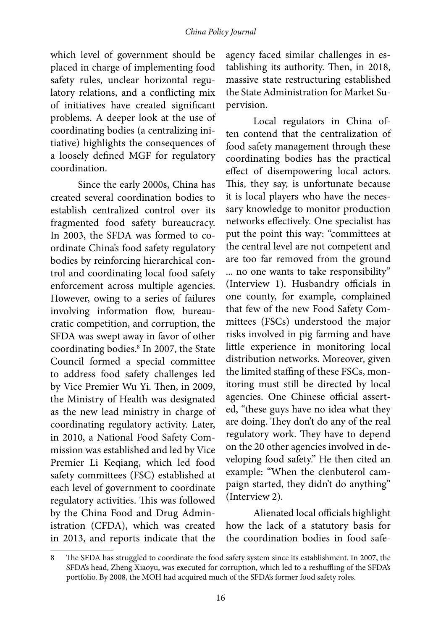#### *China Policy Journal*

which level of government should be placed in charge of implementing food safety rules, unclear horizontal regulatory relations, and a conflicting mix of initiatives have created significant problems. A deeper look at the use of coordinating bodies (a centralizing initiative) highlights the consequences of a loosely defined MGF for regulatory coordination.

Since the early 2000s, China has created several coordination bodies to establish centralized control over its fragmented food safety bureaucracy. In 2003, the SFDA was formed to coordinate China's food safety regulatory bodies by reinforcing hierarchical control and coordinating local food safety enforcement across multiple agencies. However, owing to a series of failures involving information flow, bureaucratic competition, and corruption, the SFDA was swept away in favor of other coordinating bodies.8 In 2007, the State Council formed a special committee to address food safety challenges led by Vice Premier Wu Yi. Then, in 2009, the Ministry of Health was designated as the new lead ministry in charge of coordinating regulatory activity. Later, in 2010, a National Food Safety Commission was established and led by Vice Premier Li Keqiang, which led food safety committees (FSC) established at each level of government to coordinate regulatory activities. This was followed by the China Food and Drug Administration (CFDA), which was created in 2013, and reports indicate that the

agency faced similar challenges in establishing its authority. Then, in 2018, massive state restructuring established the State Administration for Market Supervision.

Local regulators in China often contend that the centralization of food safety management through these coordinating bodies has the practical effect of disempowering local actors. This, they say, is unfortunate because it is local players who have the necessary knowledge to monitor production networks effectively. One specialist has put the point this way: "committees at the central level are not competent and are too far removed from the ground ... no one wants to take responsibility" (Interview 1). Husbandry officials in one county, for example, complained that few of the new Food Safety Committees (FSCs) understood the major risks involved in pig farming and have little experience in monitoring local distribution networks. Moreover, given the limited staffing of these FSCs, monitoring must still be directed by local agencies. One Chinese official asserted, "these guys have no idea what they are doing. They don't do any of the real regulatory work. They have to depend on the 20 other agencies involved in developing food safety." He then cited an example: "When the clenbuterol campaign started, they didn't do anything" (Interview 2).

Alienated local officials highlight how the lack of a statutory basis for the coordination bodies in food safe-

<sup>8</sup> The SFDA has struggled to coordinate the food safety system since its establishment. In 2007, the SFDA's head, Zheng Xiaoyu, was executed for corruption, which led to a reshuffling of the SFDA's portfolio. By 2008, the MOH had acquired much of the SFDA's former food safety roles.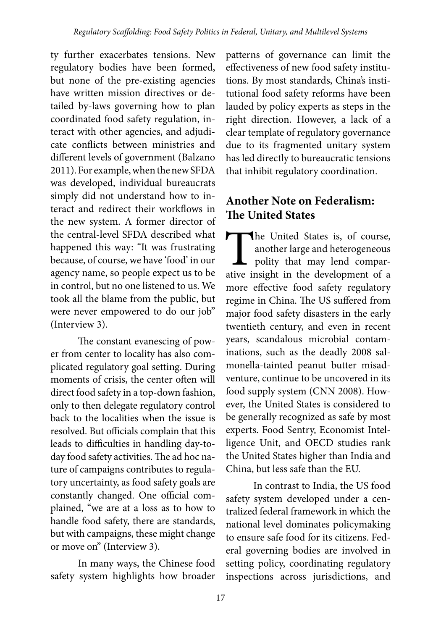ty further exacerbates tensions. New regulatory bodies have been formed, but none of the pre-existing agencies have written mission directives or detailed by-laws governing how to plan coordinated food safety regulation, interact with other agencies, and adjudicate conflicts between ministries and different levels of government (Balzano 2011). For example, when the new SFDA was developed, individual bureaucrats simply did not understand how to interact and redirect their workflows in the new system. A former director of the central-level SFDA described what happened this way: "It was frustrating because, of course, we have 'food' in our agency name, so people expect us to be in control, but no one listened to us. We took all the blame from the public, but were never empowered to do our job" (Interview 3).

The constant evanescing of power from center to locality has also complicated regulatory goal setting. During moments of crisis, the center often will direct food safety in a top-down fashion, only to then delegate regulatory control back to the localities when the issue is resolved. But officials complain that this leads to difficulties in handling day-today food safety activities. The ad hoc nature of campaigns contributes to regulatory uncertainty, as food safety goals are constantly changed. One official complained, "we are at a loss as to how to handle food safety, there are standards, but with campaigns, these might change or move on" (Interview 3).

In many ways, the Chinese food safety system highlights how broader

patterns of governance can limit the effectiveness of new food safety institutions. By most standards, China's institutional food safety reforms have been lauded by policy experts as steps in the right direction. However, a lack of a clear template of regulatory governance due to its fragmented unitary system has led directly to bureaucratic tensions that inhibit regulatory coordination.

## **Another Note on Federalism: The United States**

The United States is, of course,<br>another large and heterogeneous<br>polity that may lend compar-<br>ative insight in the development of a another large and heterogeneous polity that may lend comparative insight in the development of a more effective food safety regulatory regime in China. The US suffered from major food safety disasters in the early twentieth century, and even in recent years, scandalous microbial contaminations, such as the deadly 2008 salmonella-tainted peanut butter misadventure, continue to be uncovered in its food supply system (CNN 2008). However, the United States is considered to be generally recognized as safe by most experts. Food Sentry, Economist Intelligence Unit, and OECD studies rank the United States higher than India and China, but less safe than the EU.

In contrast to India, the US food safety system developed under a centralized federal framework in which the national level dominates policymaking to ensure safe food for its citizens. Federal governing bodies are involved in setting policy, coordinating regulatory inspections across jurisdictions, and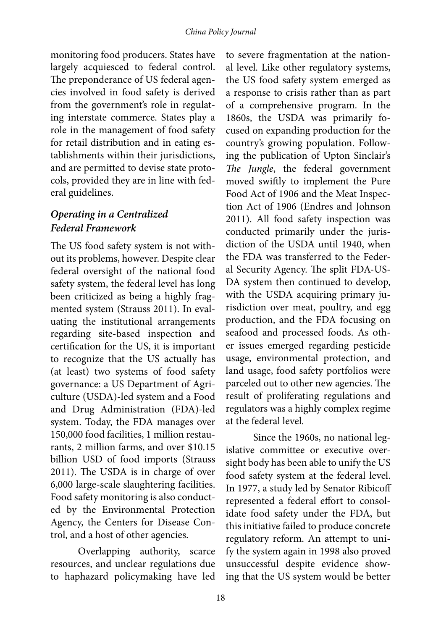monitoring food producers. States have largely acquiesced to federal control. The preponderance of US federal agencies involved in food safety is derived from the government's role in regulating interstate commerce. States play a role in the management of food safety for retail distribution and in eating establishments within their jurisdictions, and are permitted to devise state protocols, provided they are in line with federal guidelines.

#### *Operating in a Centralized Federal Framework*

The US food safety system is not without its problems, however. Despite clear federal oversight of the national food safety system, the federal level has long been criticized as being a highly fragmented system (Strauss 2011). In evaluating the institutional arrangements regarding site-based inspection and certification for the US, it is important to recognize that the US actually has (at least) two systems of food safety governance: a US Department of Agriculture (USDA)-led system and a Food and Drug Administration (FDA)-led system. Today, the FDA manages over 150,000 food facilities, 1 million restaurants, 2 million farms, and over \$10.15 billion USD of food imports (Strauss 2011). The USDA is in charge of over 6,000 large-scale slaughtering facilities. Food safety monitoring is also conducted by the Environmental Protection Agency, the Centers for Disease Control, and a host of other agencies.

Overlapping authority, scarce resources, and unclear regulations due to haphazard policymaking have led

to severe fragmentation at the national level. Like other regulatory systems, the US food safety system emerged as a response to crisis rather than as part of a comprehensive program. In the 1860s, the USDA was primarily focused on expanding production for the country's growing population. Following the publication of Upton Sinclair's *The Jungle*, the federal government moved swiftly to implement the Pure Food Act of 1906 and the Meat Inspection Act of 1906 (Endres and Johnson 2011). All food safety inspection was conducted primarily under the jurisdiction of the USDA until 1940, when the FDA was transferred to the Federal Security Agency. The split FDA-US-DA system then continued to develop, with the USDA acquiring primary jurisdiction over meat, poultry, and egg production, and the FDA focusing on seafood and processed foods. As other issues emerged regarding pesticide usage, environmental protection, and land usage, food safety portfolios were parceled out to other new agencies. The result of proliferating regulations and regulators was a highly complex regime at the federal level.

Since the 1960s, no national legislative committee or executive oversight body has been able to unify the US food safety system at the federal level. In 1977, a study led by Senator Ribicoff represented a federal effort to consolidate food safety under the FDA, but this initiative failed to produce concrete regulatory reform. An attempt to unify the system again in 1998 also proved unsuccessful despite evidence showing that the US system would be better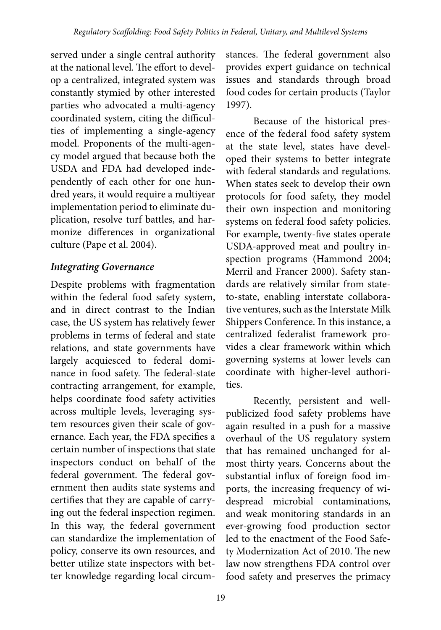served under a single central authority at the national level. The effort to develop a centralized, integrated system was constantly stymied by other interested parties who advocated a multi-agency coordinated system, citing the difficulties of implementing a single-agency model. Proponents of the multi-agency model argued that because both the USDA and FDA had developed independently of each other for one hundred years, it would require a multiyear implementation period to eliminate duplication, resolve turf battles, and harmonize differences in organizational culture (Pape et al. 2004).

#### *Integrating Governance*

Despite problems with fragmentation within the federal food safety system, and in direct contrast to the Indian case, the US system has relatively fewer problems in terms of federal and state relations, and state governments have largely acquiesced to federal dominance in food safety. The federal-state contracting arrangement, for example, helps coordinate food safety activities across multiple levels, leveraging system resources given their scale of governance. Each year, the FDA specifies a certain number of inspections that state inspectors conduct on behalf of the federal government. The federal government then audits state systems and certifies that they are capable of carrying out the federal inspection regimen. In this way, the federal government can standardize the implementation of policy, conserve its own resources, and better utilize state inspectors with better knowledge regarding local circum-

stances. The federal government also provides expert guidance on technical issues and standards through broad food codes for certain products (Taylor 1997).

Because of the historical presence of the federal food safety system at the state level, states have developed their systems to better integrate with federal standards and regulations. When states seek to develop their own protocols for food safety, they model their own inspection and monitoring systems on federal food safety policies. For example, twenty-five states operate USDA-approved meat and poultry inspection programs (Hammond 2004; Merril and Francer 2000). Safety standards are relatively similar from stateto-state, enabling interstate collaborative ventures, such as the Interstate Milk Shippers Conference. In this instance, a centralized federalist framework provides a clear framework within which governing systems at lower levels can coordinate with higher-level authorities.

Recently, persistent and wellpublicized food safety problems have again resulted in a push for a massive overhaul of the US regulatory system that has remained unchanged for almost thirty years. Concerns about the substantial influx of foreign food imports, the increasing frequency of widespread microbial contaminations, and weak monitoring standards in an ever-growing food production sector led to the enactment of the Food Safety Modernization Act of 2010. The new law now strengthens FDA control over food safety and preserves the primacy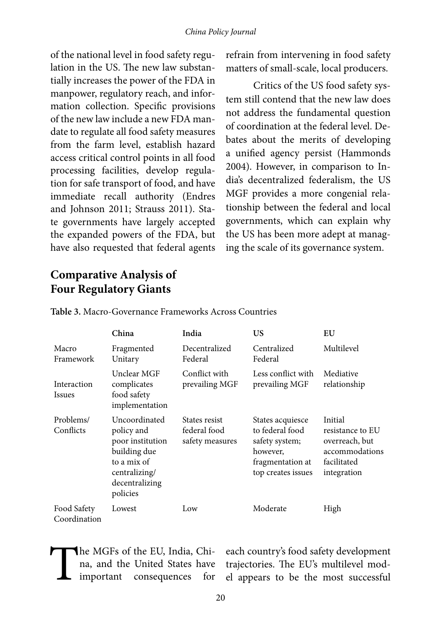of the national level in food safety regulation in the US. The new law substantially increases the power of the FDA in manpower, regulatory reach, and information collection. Specific provisions of the new law include a new FDA mandate to regulate all food safety measures from the farm level, establish hazard access critical control points in all food processing facilities, develop regulation for safe transport of food, and have immediate recall authority (Endres and Johnson 2011; Strauss 2011). State governments have largely accepted the expanded powers of the FDA, but have also requested that federal agents refrain from intervening in food safety matters of small-scale, local producers.

Critics of the US food safety system still contend that the new law does not address the fundamental question of coordination at the federal level. Debates about the merits of developing a unified agency persist (Hammonds 2004). However, in comparison to India's decentralized federalism, the US MGF provides a more congenial relationship between the federal and local governments, which can explain why the US has been more adept at managing the scale of its governance system.

## **Comparative Analysis of Four Regulatory Giants**

|                              | China                                                                                                                         | India                                            | US                                                                                                          | EU                                                                                            |
|------------------------------|-------------------------------------------------------------------------------------------------------------------------------|--------------------------------------------------|-------------------------------------------------------------------------------------------------------------|-----------------------------------------------------------------------------------------------|
| Macro<br>Framework           | Fragmented<br>Unitary                                                                                                         | Decentralized<br>Federal                         | Centralized<br>Federal                                                                                      | Multilevel                                                                                    |
| Interaction<br><i>Issues</i> | Unclear MGF<br>complicates<br>food safety<br>implementation                                                                   | Conflict with<br>prevailing MGF                  | Less conflict with<br>prevailing MGF                                                                        | Mediative<br>relationship                                                                     |
| Problems/<br>Conflicts       | Uncoordinated<br>policy and<br>poor institution<br>building due<br>to a mix of<br>centralizing/<br>decentralizing<br>policies | States resist<br>federal food<br>safety measures | States acquiesce<br>to federal food<br>safety system;<br>however,<br>fragmentation at<br>top creates issues | Initial<br>resistance to EU<br>overreach, but<br>accommodations<br>facilitated<br>integration |
| Food Safety<br>Coordination  | Lowest                                                                                                                        | Low                                              | Moderate                                                                                                    | High                                                                                          |

**Table 3.** Macro-Governance Frameworks Across Countries

The MGFs of the EU, India, China, and the United States have<br>important consequences for na, and the United States have important consequences for

each country's food safety development trajectories. The EU's multilevel model appears to be the most successful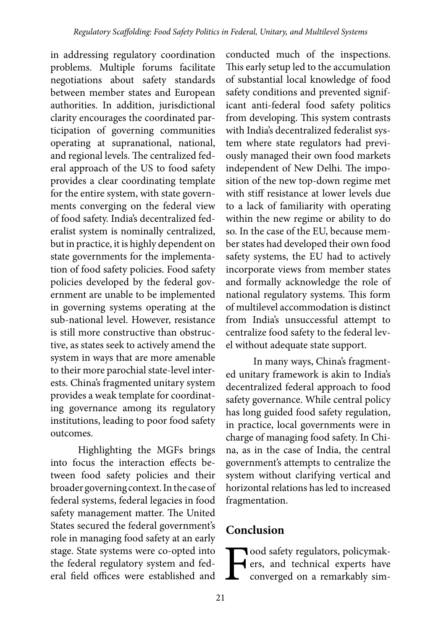in addressing regulatory coordination problems. Multiple forums facilitate negotiations about safety standards between member states and European authorities. In addition, jurisdictional clarity encourages the coordinated participation of governing communities operating at supranational, national, and regional levels. The centralized federal approach of the US to food safety provides a clear coordinating template for the entire system, with state governments converging on the federal view of food safety. India's decentralized federalist system is nominally centralized, but in practice, it is highly dependent on state governments for the implementation of food safety policies. Food safety policies developed by the federal government are unable to be implemented in governing systems operating at the sub-national level. However, resistance is still more constructive than obstructive, as states seek to actively amend the system in ways that are more amenable to their more parochial state-level interests. China's fragmented unitary system provides a weak template for coordinating governance among its regulatory institutions, leading to poor food safety outcomes.

Highlighting the MGFs brings into focus the interaction effects between food safety policies and their broader governing context. In the case of federal systems, federal legacies in food safety management matter. The United States secured the federal government's role in managing food safety at an early stage. State systems were co-opted into the federal regulatory system and federal field offices were established and

conducted much of the inspections. This early setup led to the accumulation of substantial local knowledge of food safety conditions and prevented significant anti-federal food safety politics from developing. This system contrasts with India's decentralized federalist system where state regulators had previously managed their own food markets independent of New Delhi. The imposition of the new top-down regime met with stiff resistance at lower levels due to a lack of familiarity with operating within the new regime or ability to do so. In the case of the EU, because member states had developed their own food safety systems, the EU had to actively incorporate views from member states and formally acknowledge the role of national regulatory systems. This form of multilevel accommodation is distinct from India's unsuccessful attempt to centralize food safety to the federal level without adequate state support.

In many ways, China's fragmented unitary framework is akin to India's decentralized federal approach to food safety governance. While central policy has long guided food safety regulation, in practice, local governments were in charge of managing food safety. In China, as in the case of India, the central government's attempts to centralize the system without clarifying vertical and horizontal relations has led to increased fragmentation.

## **Conclusion**

**Food safety regulators, policymakers, and technical experts have converged on a remarkably sim**ers, and technical experts have converged on a remarkably sim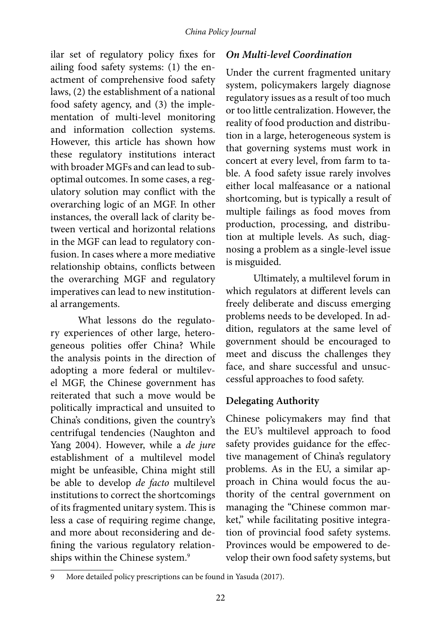ilar set of regulatory policy fixes for ailing food safety systems: (1) the enactment of comprehensive food safety laws, (2) the establishment of a national food safety agency, and (3) the implementation of multi-level monitoring and information collection systems. However, this article has shown how these regulatory institutions interact with broader MGFs and can lead to suboptimal outcomes. In some cases, a regulatory solution may conflict with the overarching logic of an MGF. In other instances, the overall lack of clarity between vertical and horizontal relations in the MGF can lead to regulatory confusion. In cases where a more mediative relationship obtains, conflicts between the overarching MGF and regulatory imperatives can lead to new institutional arrangements.

What lessons do the regulatory experiences of other large, heterogeneous polities offer China? While the analysis points in the direction of adopting a more federal or multilevel MGF, the Chinese government has reiterated that such a move would be politically impractical and unsuited to China's conditions, given the country's centrifugal tendencies (Naughton and Yang 2004). However, while a *de jure*  establishment of a multilevel model might be unfeasible, China might still be able to develop *de facto* multilevel institutions to correct the shortcomings of its fragmented unitary system. This is less a case of requiring regime change, and more about reconsidering and defining the various regulatory relationships within the Chinese system.<sup>9</sup>

#### *On Multi-level Coordination*

Under the current fragmented unitary system, policymakers largely diagnose regulatory issues as a result of too much or too little centralization. However, the reality of food production and distribution in a large, heterogeneous system is that governing systems must work in concert at every level, from farm to table. A food safety issue rarely involves either local malfeasance or a national shortcoming, but is typically a result of multiple failings as food moves from production, processing, and distribution at multiple levels. As such, diagnosing a problem as a single-level issue is misguided.

Ultimately, a multilevel forum in which regulators at different levels can freely deliberate and discuss emerging problems needs to be developed. In addition, regulators at the same level of government should be encouraged to meet and discuss the challenges they face, and share successful and unsuccessful approaches to food safety.

#### **Delegating Authority**

Chinese policymakers may find that the EU's multilevel approach to food safety provides guidance for the effective management of China's regulatory problems. As in the EU, a similar approach in China would focus the authority of the central government on managing the "Chinese common market," while facilitating positive integration of provincial food safety systems. Provinces would be empowered to develop their own food safety systems, but

More detailed policy prescriptions can be found in Yasuda (2017).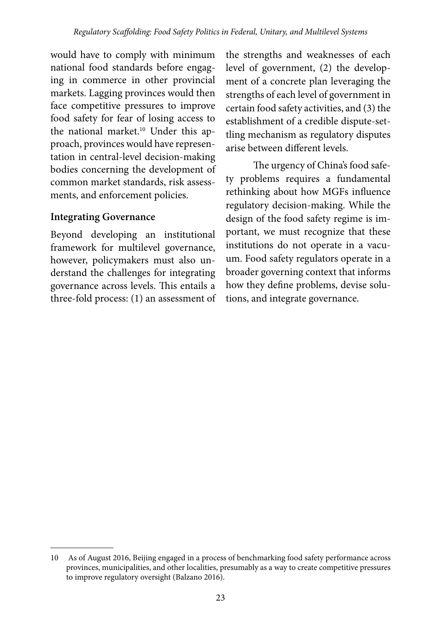would have to comply with minimum national food standards before engaging in commerce in other provincial markets. Lagging provinces would then face competitive pressures to improve food safety for fear of losing access to the national market.<sup>10</sup> Under this approach, provinces would have representation in central-level decision-making bodies concerning the development of common market standards, risk assessments, and enforcement policies.

#### **Integrating Governance**

Beyond developing an institutional framework for multilevel governance, however, policymakers must also understand the challenges for integrating governance across levels. This entails a three-fold process: (1) an assessment of

the strengths and weaknesses of each level of government, (2) the development of a concrete plan leveraging the strengths of each level of government in certain food safety activities, and (3) the establishment of a credible dispute-settling mechanism as regulatory disputes arise between different levels.

The urgency of China's food safety problems requires a fundamental rethinking about how MGFs influence regulatory decision-making. While the design of the food safety regime is important, we must recognize that these institutions do not operate in a vacuum. Food safety regulators operate in a broader governing context that informs how they define problems, devise solutions, and integrate governance.

<sup>10</sup> As of August 2016, Beijing engaged in a process of benchmarking food safety performance across provinces, municipalities, and other localities, presumably as a way to create competitive pressures to improve regulatory oversight (Balzano 2016).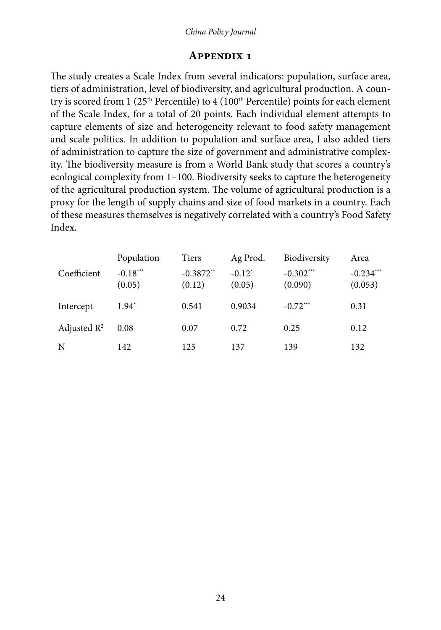#### *China Policy Journal*

#### **Appendix 1**

The study creates a Scale Index from several indicators: population, surface area, tiers of administration, level of biodiversity, and agricultural production. A country is scored from 1 ( $25<sup>th</sup>$  Percentile) to 4 ( $100<sup>th</sup>$  Percentile) points for each element of the Scale Index, for a total of 20 points. Each individual element attempts to capture elements of size and heterogeneity relevant to food safety management and scale politics. In addition to population and surface area, I also added tiers of administration to capture the size of government and administrative complexity. The biodiversity measure is from a World Bank study that scores a country's ecological complexity from 1–100. Biodiversity seeks to capture the heterogeneity of the agricultural production system. The volume of agricultural production is a proxy for the length of supply chains and size of food markets in a country. Each of these measures themselves is negatively correlated with a country's Food Safety Index.

|                | Population           | <b>Tiers</b>          | Ag Prod.            | Biodiversity           | Area                   |
|----------------|----------------------|-----------------------|---------------------|------------------------|------------------------|
| Coefficient    | $-0.18***$<br>(0.05) | $-0.3872**$<br>(0.12) | $-0.12^*$<br>(0.05) | $-0.302***$<br>(0.090) | $-0.234***$<br>(0.053) |
| Intercept      | $1.94^{\degree}$     | 0.541                 | 0.9034              | $-0.72***$             | 0.31                   |
| Adjusted $R^2$ | 0.08                 | 0.07                  | 0.72                | 0.25                   | 0.12                   |
| N              | 142                  | 125                   | 137                 | 139                    | 132                    |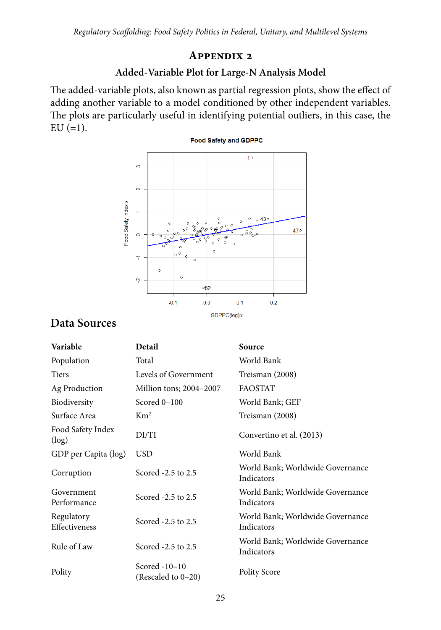#### **Appendix 2**

#### **Added-Variable Plot for Large-N Analysis Model**

The added-variable plots, also known as partial regression plots, show the effect of adding another variable to a model conditioned by other independent variables. The plots are particularly useful in identifying potential outliers, in this case, the  $EU (=1).$ 



## **Data Sources**

| Variable                    | Detail                              | Source                                         |
|-----------------------------|-------------------------------------|------------------------------------------------|
| Population                  | Total                               | World Bank                                     |
| <b>Tiers</b>                | Levels of Government                | Treisman (2008)                                |
| Ag Production               | Million tons; 2004-2007             | <b>FAOSTAT</b>                                 |
| Biodiversity                | Scored 0-100                        | World Bank; GEF                                |
| Surface Area                | $\mathrm{Km}^2$                     | Treisman (2008)                                |
| Food Safety Index<br>(log)  | DI/TI                               | Convertino et al. (2013)                       |
| GDP per Capita (log)        | <b>USD</b>                          | World Bank                                     |
| Corruption                  | Scored -2.5 to 2.5                  | World Bank; Worldwide Governance<br>Indicators |
| Government<br>Performance   | Scored -2.5 to 2.5                  | World Bank; Worldwide Governance<br>Indicators |
| Regulatory<br>Effectiveness | Scored -2.5 to 2.5                  | World Bank; Worldwide Governance<br>Indicators |
| Rule of Law                 | Scored -2.5 to 2.5                  | World Bank; Worldwide Governance<br>Indicators |
| Polity                      | Scored -10-10<br>(Rescaled to 0-20) | <b>Polity Score</b>                            |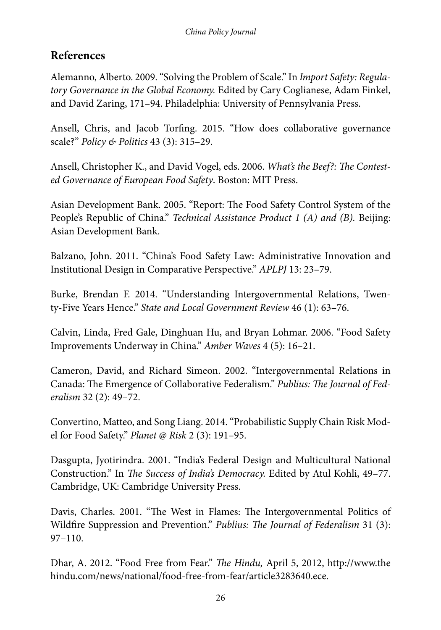## **References**

Alemanno, Alberto. 2009. "Solving the Problem of Scale." In *Import Safety: Regulatory Governance in the Global Economy.* Edited by Cary Coglianese, Adam Finkel, and David Zaring, 171–94. Philadelphia: University of Pennsylvania Press.

Ansell, Chris, and Jacob Torfing. 2015. "How does collaborative governance scale?" *Policy & Politics* 43 (3): 315–29.

Ansell, Christopher K., and David Vogel, eds. 2006. *What's the Beef?: The Contested Governance of European Food Safety*. Boston: MIT Press.

Asian Development Bank. 2005. "Report: The Food Safety Control System of the People's Republic of China." *Technical Assistance Product 1 (A) and (B).* Beijing: Asian Development Bank.

Balzano, John. 2011. "China's Food Safety Law: Administrative Innovation and Institutional Design in Comparative Perspective." *APLPJ* 13: 23–79.

Burke, Brendan F. 2014. "Understanding Intergovernmental Relations, Twenty-Five Years Hence." *State and Local Government Review* 46 (1): 63–76.

Calvin, Linda, Fred Gale, Dinghuan Hu, and Bryan Lohmar. 2006. "Food Safety Improvements Underway in China." *Amber Waves* 4 (5): 16–21.

Cameron, David, and Richard Simeon. 2002. "Intergovernmental Relations in Canada: The Emergence of Collaborative Federalism." *Publius: The Journal of Federalism* 32 (2): 49–72.

Convertino, Matteo, and Song Liang. 2014. "Probabilistic Supply Chain Risk Model for Food Safety." *Planet @ Risk* 2 (3): 191–95.

Dasgupta, Jyotirindra. 2001. "India's Federal Design and Multicultural National Construction." In *The Success of India's Democracy.* Edited by Atul Kohli, 49–77. Cambridge, UK: Cambridge University Press.

Davis, Charles. 2001. "The West in Flames: The Intergovernmental Politics of Wildfire Suppression and Prevention." *Publius: The Journal of Federalism* 31 (3): 97–110.

Dhar, A. 2012. "Food Free from Fear." *The Hindu,* April 5, 2012, http://www.the hindu.com/news/national/food-free-from-fear/article3283640.ece.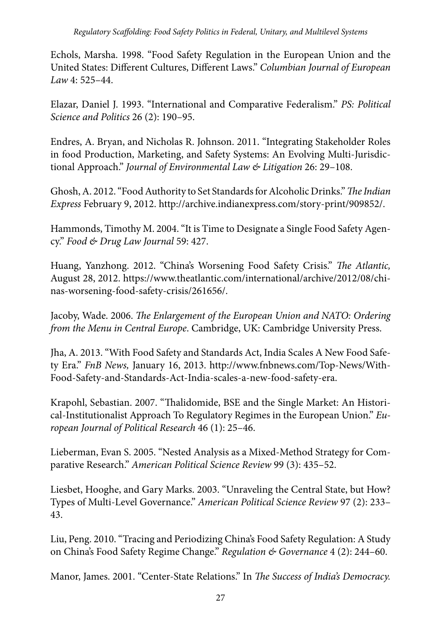Echols, Marsha. 1998. "Food Safety Regulation in the European Union and the United States: Different Cultures, Different Laws." *Columbian Journal of European Law* 4: 525–44.

Elazar, Daniel J. 1993. "International and Comparative Federalism." *PS: Political Science and Politics* 26 (2): 190–95.

Endres, A. Bryan, and Nicholas R. Johnson. 2011. "Integrating Stakeholder Roles in food Production, Marketing, and Safety Systems: An Evolving Multi-Jurisdictional Approach." *Journal of Environmental Law & Litigation* 26: 29–108.

Ghosh, A. 2012. "Food Authority to Set Standards for Alcoholic Drinks." *The Indian Express* February 9, 2012. http://archive.indianexpress.com/story-print/909852/.

Hammonds, Timothy M. 2004. "It is Time to Designate a Single Food Safety Agency." *Food & Drug Law Journal* 59: 427.

Huang, Yanzhong. 2012. "China's Worsening Food Safety Crisis." *The Atlantic,*  August 28, 2012. https://www.theatlantic.com/international/archive/2012/08/chinas-worsening-food-safety-crisis/261656/.

Jacoby, Wade. 2006. *The Enlargement of the European Union and NATO: Ordering from the Menu in Central Europe*. Cambridge, UK: Cambridge University Press.

Jha, A. 2013. "With Food Safety and Standards Act, India Scales A New Food Safety Era." *FnB News,* January 16, 2013. http://www.fnbnews.com/Top-News/With-Food-Safety-and-Standards-Act-India-scales-a-new-food-safety-era.

Krapohl, Sebastian. 2007. "Thalidomide, BSE and the Single Market: An Historical-Institutionalist Approach To Regulatory Regimes in the European Union." *European Journal of Political Research* 46 (1): 25–46.

Lieberman, Evan S. 2005. "Nested Analysis as a Mixed-Method Strategy for Comparative Research." *American Political Science Review* 99 (3): 435–52.

Liesbet, Hooghe, and Gary Marks. 2003. "Unraveling the Central State, but How? Types of Multi-Level Governance." *American Political Science Review* 97 (2): 233– 43.

Liu, Peng. 2010. "Tracing and Periodizing China's Food Safety Regulation: A Study on China's Food Safety Regime Change." *Regulation & Governance* 4 (2): 244–60.

Manor, James. 2001. "Center-State Relations." In *The Success of India's Democracy.*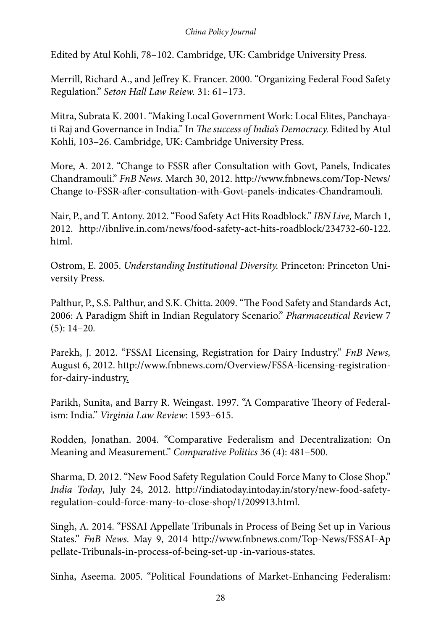Edited by Atul Kohli, 78–102. Cambridge, UK: Cambridge University Press.

Merrill, Richard A., and Jeffrey K. Francer. 2000. "Organizing Federal Food Safety Regulation." *Seton Hall Law Reiew.* 31: 61–173.

Mitra, Subrata K. 2001. "Making Local Government Work: Local Elites, Panchayati Raj and Governance in India." In *The success of India's Democracy.* Edited by Atul Kohli, 103–26. Cambridge, UK: Cambridge University Press.

More, A. 2012. "Change to FSSR after Consultation with Govt, Panels, Indicates Chandramouli." *FnB News.* March 30, 2012. http://www.fnbnews.com/Top-News/ Change to-FSSR-after-consultation-with-Govt-panels-indicates-Chandramouli.

Nair, P., and T. Antony. 2012. "Food Safety Act Hits Roadblock." *IBN Live,* March 1, 2012. http://ibnlive.in.com/news/food-safety-act-hits-roadblock/234732-60-122. html.

Ostrom, E. 2005. *Understanding Institutional Diversity.* Princeton: Princeton University Press.

Palthur, P., S.S. Palthur, and S.K. Chitta. 2009. "The Food Safety and Standards Act, 2006: A Paradigm Shift in Indian Regulatory Scenario." *Pharmaceutical Rev*iew 7 (5): 14–20*.*

Parekh, J. 2012. "FSSAI Licensing, Registration for Dairy Industry." *FnB News,* August 6, 2012. http://www.fnbnews.com/Overview/FSSA-licensing-registrationfor-dairy-industry.

Parikh, Sunita, and Barry R. Weingast. 1997. "A Comparative Theory of Federalism: India." *Virginia Law Review*: 1593–615.

Rodden, Jonathan. 2004. "Comparative Federalism and Decentralization: On Meaning and Measurement." *Comparative Politics* 36 (4): 481–500.

Sharma, D. 2012. "New Food Safety Regulation Could Force Many to Close Shop." *India Today*, July 24, 2012. http://indiatoday.intoday.in/story/new-food-safetyregulation-could-force-many-to-close-shop/1/209913.html.

Singh, A. 2014. "FSSAI Appellate Tribunals in Process of Being Set up in Various States." *FnB News.* May 9, 2014 http://www.fnbnews.com/Top-News/FSSAI-Ap pellate-Tribunals-in-process-of-being-set-up -in-various-states.

Sinha, Aseema. 2005. "Political Foundations of Market-Enhancing Federalism: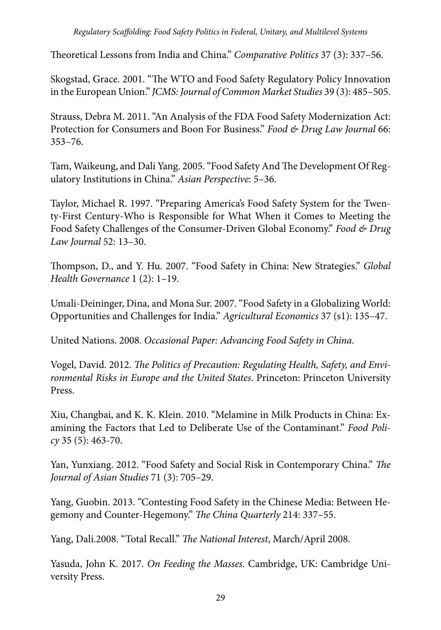Theoretical Lessons from India and China." *Comparative Politics* 37 (3): 337–56.

Skogstad, Grace. 2001. "The WTO and Food Safety Regulatory Policy Innovation in the European Union." *JCMS: Journal of Common Market Studies* 39 (3): 485–505.

Strauss, Debra M. 2011. "An Analysis of the FDA Food Safety Modernization Act: Protection for Consumers and Boon For Business." *Food & Drug Law Journal* 66: 353–76.

Tam, Waikeung, and Dali Yang. 2005. "Food Safety And The Development Of Regulatory Institutions in China." *Asian Perspective*: 5–36.

Taylor, Michael R. 1997. "Preparing America's Food Safety System for the Twenty-First Century-Who is Responsible for What When it Comes to Meeting the Food Safety Challenges of the Consumer-Driven Global Economy." *Food & Drug Law Journal* 52: 13–30.

Thompson, D., and Y. Hu. 2007. "Food Safety in China: New Strategies." *Global Health Governance* 1 (2): 1–19.

Umali-Deininger, Dina, and Mona Sur. 2007. "Food Safety in a Globalizing World: Opportunities and Challenges for India." *Agricultural Economics* 37 (s1): 135–47.

United Nations. 2008. *Occasional Paper: Advancing Food Safety in China*.

Vogel, David. 2012. *The Politics of Precaution: Regulating Health, Safety, and Environmental Risks in Europe and the United States*. Princeton: Princeton University Press.

Xiu, Changbai, and K. K. Klein. 2010. "Melamine in Milk Products in China: Examining the Factors that Led to Deliberate Use of the Contaminant." *Food Policy* 35 (5): 463-70.

Yan, Yunxiang. 2012. "Food Safety and Social Risk in Contemporary China." *The Journal of Asian Studies* 71 (3): 705–29.

Yang, Guobin. 2013. "Contesting Food Safety in the Chinese Media: Between Hegemony and Counter-Hegemony." *The China Quarterly* 214: 337–55.

Yang, Dali.2008. "Total Recall." *The National Interest*, March/April 2008.

Yasuda, John K. 2017. *On Feeding the Masses*. Cambridge, UK: Cambridge University Press.